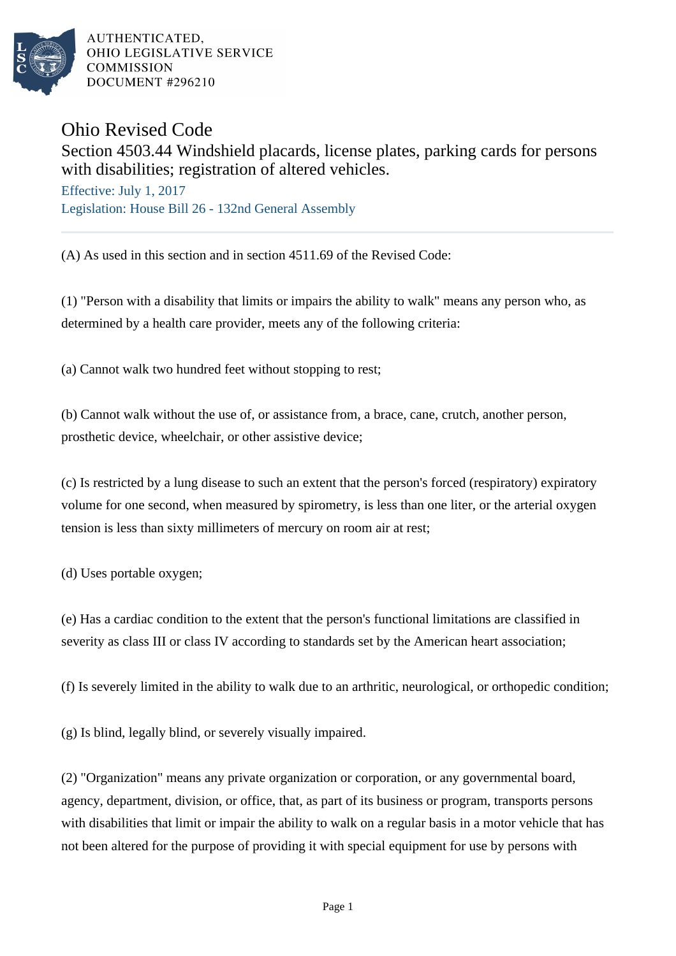

Ohio Revised Code

Section 4503.44 Windshield placards, license plates, parking cards for persons with disabilities; registration of altered vehicles.

Effective: July 1, 2017 Legislation: House Bill 26 - 132nd General Assembly

(A) As used in this section and in section 4511.69 of the Revised Code:

(1) "Person with a disability that limits or impairs the ability to walk" means any person who, as determined by a health care provider, meets any of the following criteria:

(a) Cannot walk two hundred feet without stopping to rest;

(b) Cannot walk without the use of, or assistance from, a brace, cane, crutch, another person, prosthetic device, wheelchair, or other assistive device;

(c) Is restricted by a lung disease to such an extent that the person's forced (respiratory) expiratory volume for one second, when measured by spirometry, is less than one liter, or the arterial oxygen tension is less than sixty millimeters of mercury on room air at rest;

(d) Uses portable oxygen;

(e) Has a cardiac condition to the extent that the person's functional limitations are classified in severity as class III or class IV according to standards set by the American heart association;

(f) Is severely limited in the ability to walk due to an arthritic, neurological, or orthopedic condition;

(g) Is blind, legally blind, or severely visually impaired.

(2) "Organization" means any private organization or corporation, or any governmental board, agency, department, division, or office, that, as part of its business or program, transports persons with disabilities that limit or impair the ability to walk on a regular basis in a motor vehicle that has not been altered for the purpose of providing it with special equipment for use by persons with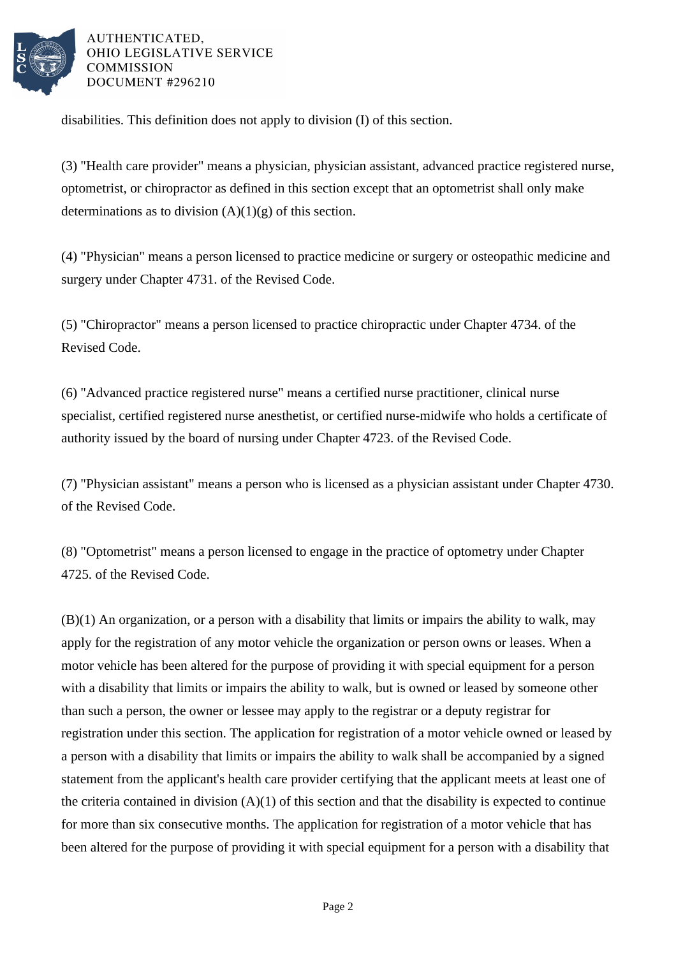

disabilities. This definition does not apply to division (I) of this section.

(3) "Health care provider" means a physician, physician assistant, advanced practice registered nurse, optometrist, or chiropractor as defined in this section except that an optometrist shall only make determinations as to division  $(A)(1)(g)$  of this section.

(4) "Physician" means a person licensed to practice medicine or surgery or osteopathic medicine and surgery under Chapter 4731. of the Revised Code.

(5) "Chiropractor" means a person licensed to practice chiropractic under Chapter 4734. of the Revised Code.

(6) "Advanced practice registered nurse" means a certified nurse practitioner, clinical nurse specialist, certified registered nurse anesthetist, or certified nurse-midwife who holds a certificate of authority issued by the board of nursing under Chapter 4723. of the Revised Code.

(7) "Physician assistant" means a person who is licensed as a physician assistant under Chapter 4730. of the Revised Code.

(8) "Optometrist" means a person licensed to engage in the practice of optometry under Chapter 4725. of the Revised Code.

 $(B)(1)$  An organization, or a person with a disability that limits or impairs the ability to walk, may apply for the registration of any motor vehicle the organization or person owns or leases. When a motor vehicle has been altered for the purpose of providing it with special equipment for a person with a disability that limits or impairs the ability to walk, but is owned or leased by someone other than such a person, the owner or lessee may apply to the registrar or a deputy registrar for registration under this section. The application for registration of a motor vehicle owned or leased by a person with a disability that limits or impairs the ability to walk shall be accompanied by a signed statement from the applicant's health care provider certifying that the applicant meets at least one of the criteria contained in division  $(A)(1)$  of this section and that the disability is expected to continue for more than six consecutive months. The application for registration of a motor vehicle that has been altered for the purpose of providing it with special equipment for a person with a disability that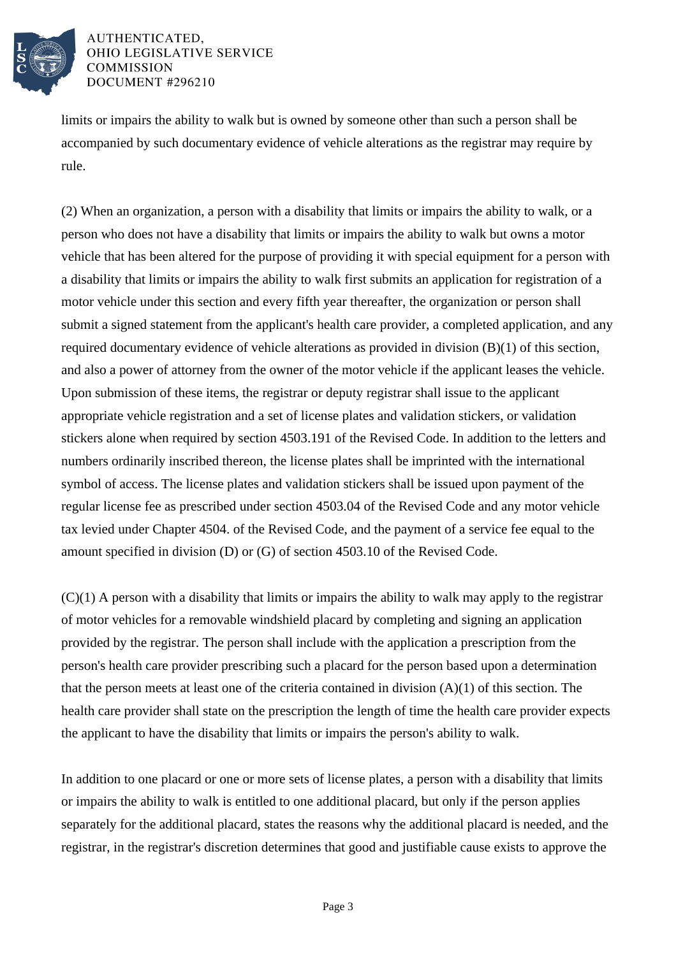

limits or impairs the ability to walk but is owned by someone other than such a person shall be accompanied by such documentary evidence of vehicle alterations as the registrar may require by rule.

(2) When an organization, a person with a disability that limits or impairs the ability to walk, or a person who does not have a disability that limits or impairs the ability to walk but owns a motor vehicle that has been altered for the purpose of providing it with special equipment for a person with a disability that limits or impairs the ability to walk first submits an application for registration of a motor vehicle under this section and every fifth year thereafter, the organization or person shall submit a signed statement from the applicant's health care provider, a completed application, and any required documentary evidence of vehicle alterations as provided in division (B)(1) of this section, and also a power of attorney from the owner of the motor vehicle if the applicant leases the vehicle. Upon submission of these items, the registrar or deputy registrar shall issue to the applicant appropriate vehicle registration and a set of license plates and validation stickers, or validation stickers alone when required by section 4503.191 of the Revised Code. In addition to the letters and numbers ordinarily inscribed thereon, the license plates shall be imprinted with the international symbol of access. The license plates and validation stickers shall be issued upon payment of the regular license fee as prescribed under section 4503.04 of the Revised Code and any motor vehicle tax levied under Chapter 4504. of the Revised Code, and the payment of a service fee equal to the amount specified in division (D) or (G) of section 4503.10 of the Revised Code.

 $(C)(1)$  A person with a disability that limits or impairs the ability to walk may apply to the registrar of motor vehicles for a removable windshield placard by completing and signing an application provided by the registrar. The person shall include with the application a prescription from the person's health care provider prescribing such a placard for the person based upon a determination that the person meets at least one of the criteria contained in division  $(A)(1)$  of this section. The health care provider shall state on the prescription the length of time the health care provider expects the applicant to have the disability that limits or impairs the person's ability to walk.

In addition to one placard or one or more sets of license plates, a person with a disability that limits or impairs the ability to walk is entitled to one additional placard, but only if the person applies separately for the additional placard, states the reasons why the additional placard is needed, and the registrar, in the registrar's discretion determines that good and justifiable cause exists to approve the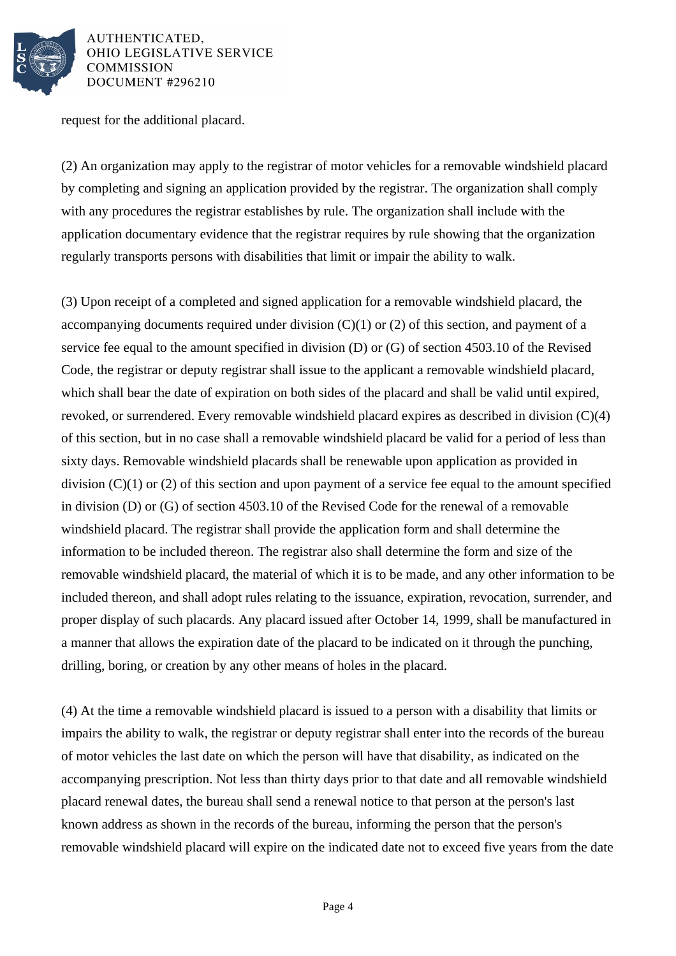

request for the additional placard.

(2) An organization may apply to the registrar of motor vehicles for a removable windshield placard by completing and signing an application provided by the registrar. The organization shall comply with any procedures the registrar establishes by rule. The organization shall include with the application documentary evidence that the registrar requires by rule showing that the organization regularly transports persons with disabilities that limit or impair the ability to walk.

(3) Upon receipt of a completed and signed application for a removable windshield placard, the accompanying documents required under division  $(C)(1)$  or  $(2)$  of this section, and payment of a service fee equal to the amount specified in division (D) or (G) of section 4503.10 of the Revised Code, the registrar or deputy registrar shall issue to the applicant a removable windshield placard, which shall bear the date of expiration on both sides of the placard and shall be valid until expired, revoked, or surrendered. Every removable windshield placard expires as described in division (C)(4) of this section, but in no case shall a removable windshield placard be valid for a period of less than sixty days. Removable windshield placards shall be renewable upon application as provided in division  $(C)(1)$  or  $(2)$  of this section and upon payment of a service fee equal to the amount specified in division (D) or (G) of section 4503.10 of the Revised Code for the renewal of a removable windshield placard. The registrar shall provide the application form and shall determine the information to be included thereon. The registrar also shall determine the form and size of the removable windshield placard, the material of which it is to be made, and any other information to be included thereon, and shall adopt rules relating to the issuance, expiration, revocation, surrender, and proper display of such placards. Any placard issued after October 14, 1999, shall be manufactured in a manner that allows the expiration date of the placard to be indicated on it through the punching, drilling, boring, or creation by any other means of holes in the placard.

(4) At the time a removable windshield placard is issued to a person with a disability that limits or impairs the ability to walk, the registrar or deputy registrar shall enter into the records of the bureau of motor vehicles the last date on which the person will have that disability, as indicated on the accompanying prescription. Not less than thirty days prior to that date and all removable windshield placard renewal dates, the bureau shall send a renewal notice to that person at the person's last known address as shown in the records of the bureau, informing the person that the person's removable windshield placard will expire on the indicated date not to exceed five years from the date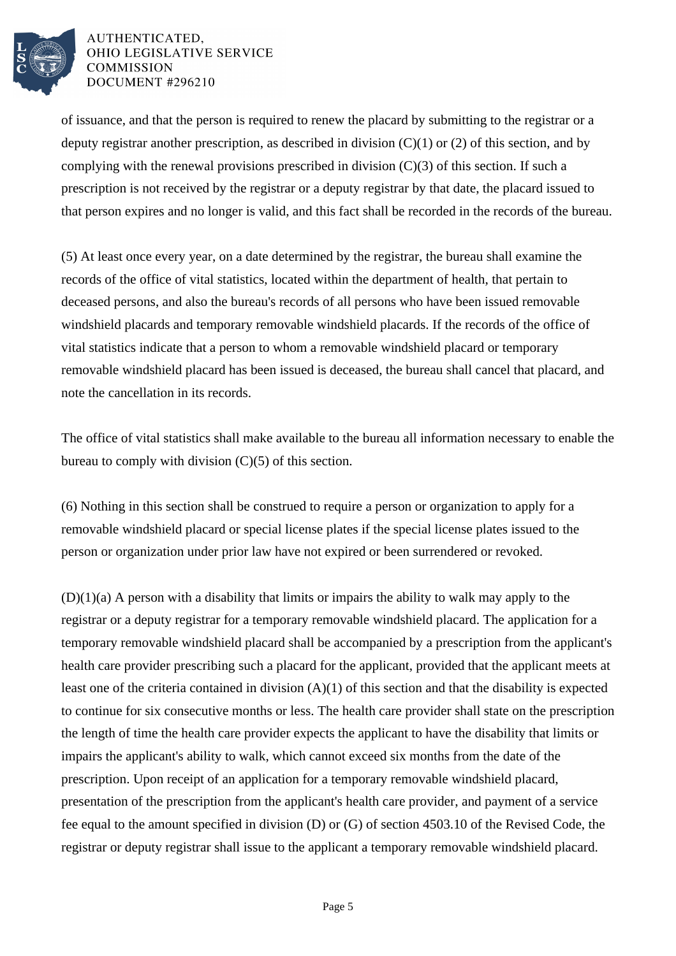

of issuance, and that the person is required to renew the placard by submitting to the registrar or a deputy registrar another prescription, as described in division  $(C)(1)$  or  $(2)$  of this section, and by complying with the renewal provisions prescribed in division  $(C)(3)$  of this section. If such a prescription is not received by the registrar or a deputy registrar by that date, the placard issued to that person expires and no longer is valid, and this fact shall be recorded in the records of the bureau.

(5) At least once every year, on a date determined by the registrar, the bureau shall examine the records of the office of vital statistics, located within the department of health, that pertain to deceased persons, and also the bureau's records of all persons who have been issued removable windshield placards and temporary removable windshield placards. If the records of the office of vital statistics indicate that a person to whom a removable windshield placard or temporary removable windshield placard has been issued is deceased, the bureau shall cancel that placard, and note the cancellation in its records.

The office of vital statistics shall make available to the bureau all information necessary to enable the bureau to comply with division  $(C)(5)$  of this section.

(6) Nothing in this section shall be construed to require a person or organization to apply for a removable windshield placard or special license plates if the special license plates issued to the person or organization under prior law have not expired or been surrendered or revoked.

 $(D)(1)(a)$  A person with a disability that limits or impairs the ability to walk may apply to the registrar or a deputy registrar for a temporary removable windshield placard. The application for a temporary removable windshield placard shall be accompanied by a prescription from the applicant's health care provider prescribing such a placard for the applicant, provided that the applicant meets at least one of the criteria contained in division (A)(1) of this section and that the disability is expected to continue for six consecutive months or less. The health care provider shall state on the prescription the length of time the health care provider expects the applicant to have the disability that limits or impairs the applicant's ability to walk, which cannot exceed six months from the date of the prescription. Upon receipt of an application for a temporary removable windshield placard, presentation of the prescription from the applicant's health care provider, and payment of a service fee equal to the amount specified in division (D) or (G) of section 4503.10 of the Revised Code, the registrar or deputy registrar shall issue to the applicant a temporary removable windshield placard.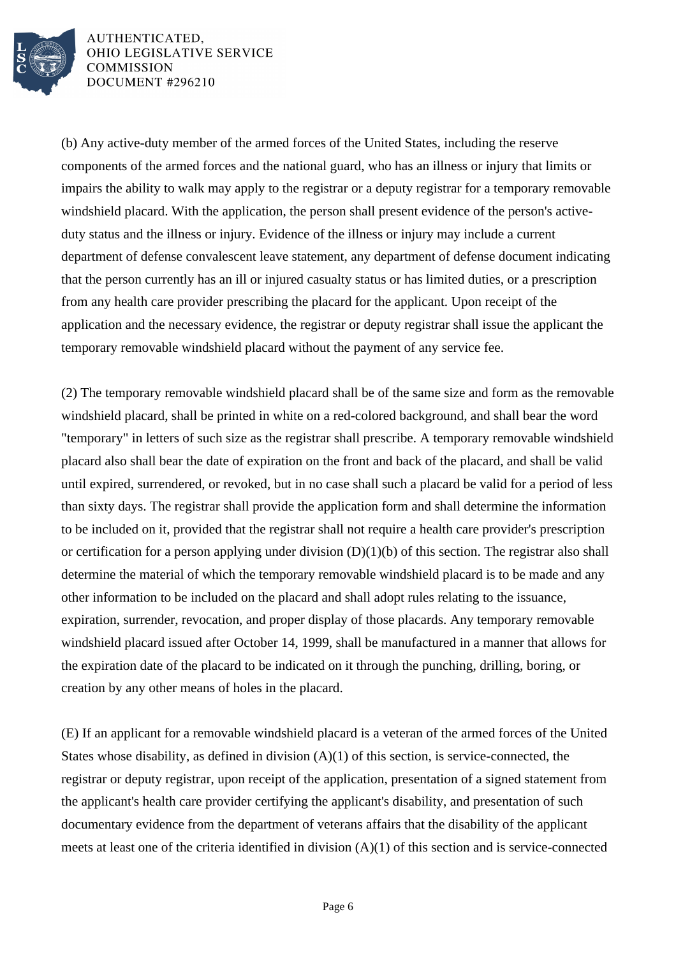

(b) Any active-duty member of the armed forces of the United States, including the reserve components of the armed forces and the national guard, who has an illness or injury that limits or impairs the ability to walk may apply to the registrar or a deputy registrar for a temporary removable windshield placard. With the application, the person shall present evidence of the person's activeduty status and the illness or injury. Evidence of the illness or injury may include a current department of defense convalescent leave statement, any department of defense document indicating that the person currently has an ill or injured casualty status or has limited duties, or a prescription from any health care provider prescribing the placard for the applicant. Upon receipt of the application and the necessary evidence, the registrar or deputy registrar shall issue the applicant the temporary removable windshield placard without the payment of any service fee.

(2) The temporary removable windshield placard shall be of the same size and form as the removable windshield placard, shall be printed in white on a red-colored background, and shall bear the word "temporary" in letters of such size as the registrar shall prescribe. A temporary removable windshield placard also shall bear the date of expiration on the front and back of the placard, and shall be valid until expired, surrendered, or revoked, but in no case shall such a placard be valid for a period of less than sixty days. The registrar shall provide the application form and shall determine the information to be included on it, provided that the registrar shall not require a health care provider's prescription or certification for a person applying under division  $(D)(1)(b)$  of this section. The registrar also shall determine the material of which the temporary removable windshield placard is to be made and any other information to be included on the placard and shall adopt rules relating to the issuance, expiration, surrender, revocation, and proper display of those placards. Any temporary removable windshield placard issued after October 14, 1999, shall be manufactured in a manner that allows for the expiration date of the placard to be indicated on it through the punching, drilling, boring, or creation by any other means of holes in the placard.

(E) If an applicant for a removable windshield placard is a veteran of the armed forces of the United States whose disability, as defined in division (A)(1) of this section, is service-connected, the registrar or deputy registrar, upon receipt of the application, presentation of a signed statement from the applicant's health care provider certifying the applicant's disability, and presentation of such documentary evidence from the department of veterans affairs that the disability of the applicant meets at least one of the criteria identified in division (A)(1) of this section and is service-connected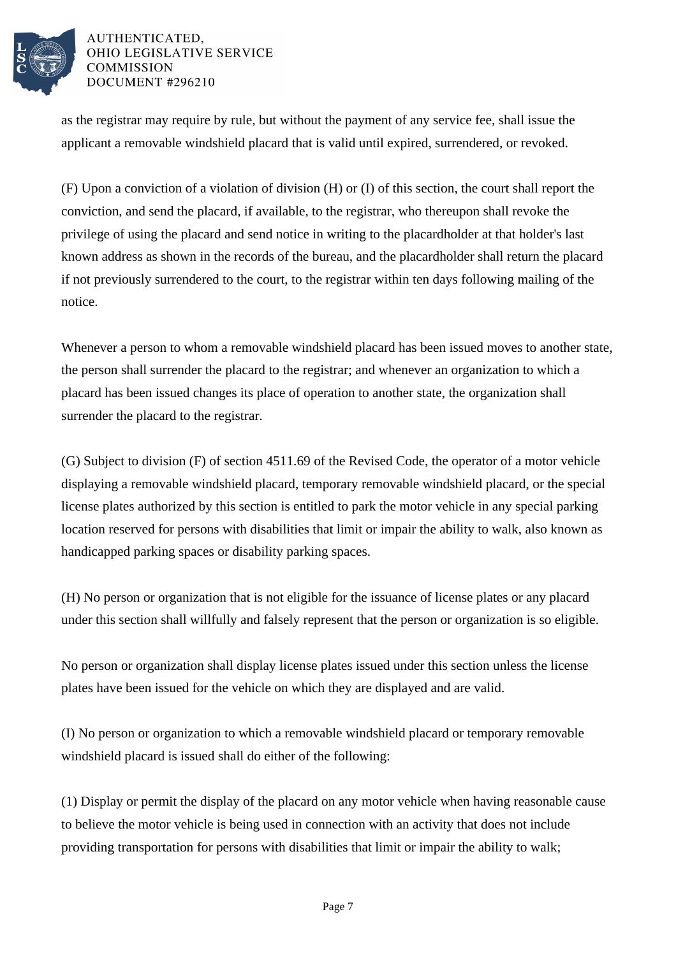

as the registrar may require by rule, but without the payment of any service fee, shall issue the applicant a removable windshield placard that is valid until expired, surrendered, or revoked.

(F) Upon a conviction of a violation of division (H) or (I) of this section, the court shall report the conviction, and send the placard, if available, to the registrar, who thereupon shall revoke the privilege of using the placard and send notice in writing to the placardholder at that holder's last known address as shown in the records of the bureau, and the placardholder shall return the placard if not previously surrendered to the court, to the registrar within ten days following mailing of the notice.

Whenever a person to whom a removable windshield placard has been issued moves to another state, the person shall surrender the placard to the registrar; and whenever an organization to which a placard has been issued changes its place of operation to another state, the organization shall surrender the placard to the registrar.

(G) Subject to division (F) of section 4511.69 of the Revised Code, the operator of a motor vehicle displaying a removable windshield placard, temporary removable windshield placard, or the special license plates authorized by this section is entitled to park the motor vehicle in any special parking location reserved for persons with disabilities that limit or impair the ability to walk, also known as handicapped parking spaces or disability parking spaces.

(H) No person or organization that is not eligible for the issuance of license plates or any placard under this section shall willfully and falsely represent that the person or organization is so eligible.

No person or organization shall display license plates issued under this section unless the license plates have been issued for the vehicle on which they are displayed and are valid.

(I) No person or organization to which a removable windshield placard or temporary removable windshield placard is issued shall do either of the following:

(1) Display or permit the display of the placard on any motor vehicle when having reasonable cause to believe the motor vehicle is being used in connection with an activity that does not include providing transportation for persons with disabilities that limit or impair the ability to walk;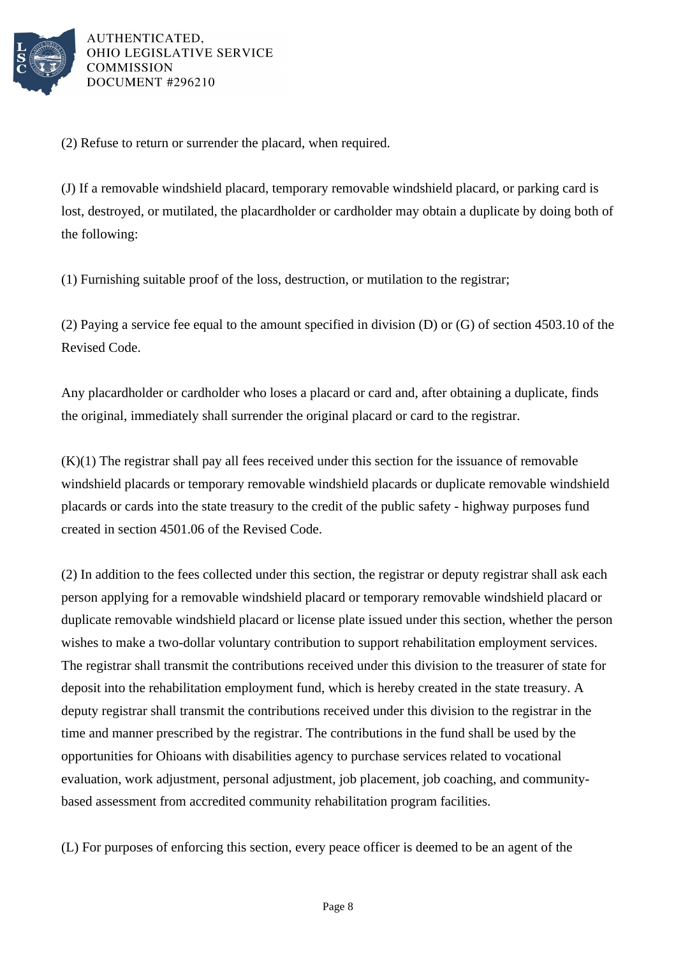

(2) Refuse to return or surrender the placard, when required.

(J) If a removable windshield placard, temporary removable windshield placard, or parking card is lost, destroyed, or mutilated, the placardholder or cardholder may obtain a duplicate by doing both of the following:

(1) Furnishing suitable proof of the loss, destruction, or mutilation to the registrar;

(2) Paying a service fee equal to the amount specified in division (D) or (G) of section 4503.10 of the Revised Code.

Any placardholder or cardholder who loses a placard or card and, after obtaining a duplicate, finds the original, immediately shall surrender the original placard or card to the registrar.

 $(K)(1)$  The registrar shall pay all fees received under this section for the issuance of removable windshield placards or temporary removable windshield placards or duplicate removable windshield placards or cards into the state treasury to the credit of the public safety - highway purposes fund created in section 4501.06 of the Revised Code.

(2) In addition to the fees collected under this section, the registrar or deputy registrar shall ask each person applying for a removable windshield placard or temporary removable windshield placard or duplicate removable windshield placard or license plate issued under this section, whether the person wishes to make a two-dollar voluntary contribution to support rehabilitation employment services. The registrar shall transmit the contributions received under this division to the treasurer of state for deposit into the rehabilitation employment fund, which is hereby created in the state treasury. A deputy registrar shall transmit the contributions received under this division to the registrar in the time and manner prescribed by the registrar. The contributions in the fund shall be used by the opportunities for Ohioans with disabilities agency to purchase services related to vocational evaluation, work adjustment, personal adjustment, job placement, job coaching, and communitybased assessment from accredited community rehabilitation program facilities.

(L) For purposes of enforcing this section, every peace officer is deemed to be an agent of the